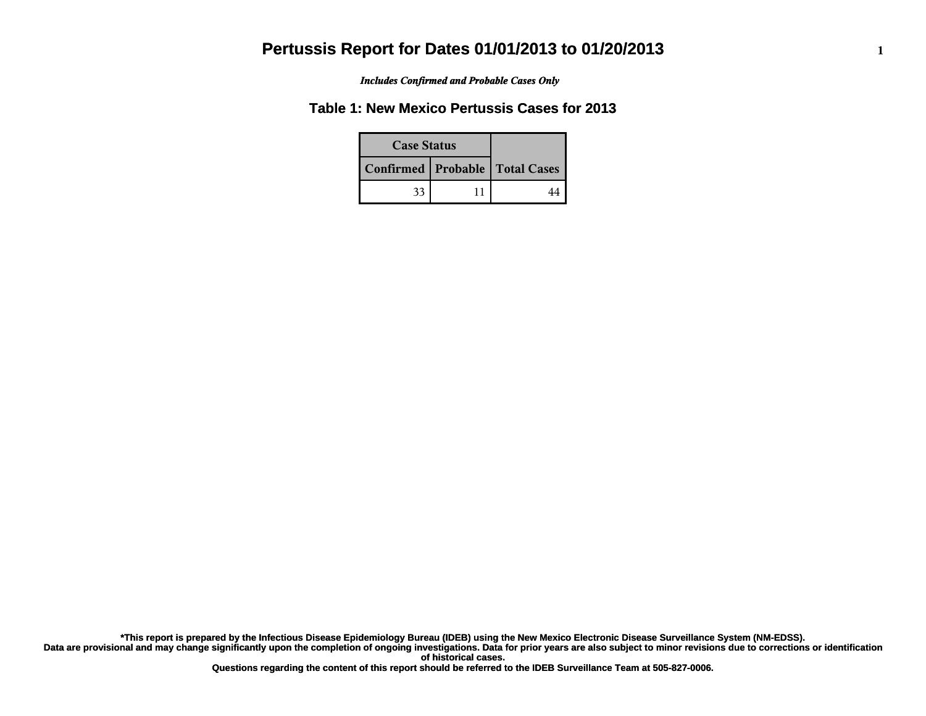*Includes Confirmed and Probable Cases Only*

### **Table 1: New Mexico Pertussis Cases for 2013**

| <b>Case Status</b> |  |                                    |
|--------------------|--|------------------------------------|
|                    |  | Confirmed   Probable   Total Cases |
| 33                 |  |                                    |

**Data are provisional and may change significantly upon the completion of ongoing investigations. Data for prior years are also subject to minor revisions due to corrections or identification of historical cases. \*This report is prepared by the Infectious Disease Epidemiology Bureau (IDEB) using the New Mexico Electronic Disease Surveillance System (NM-EDSS).**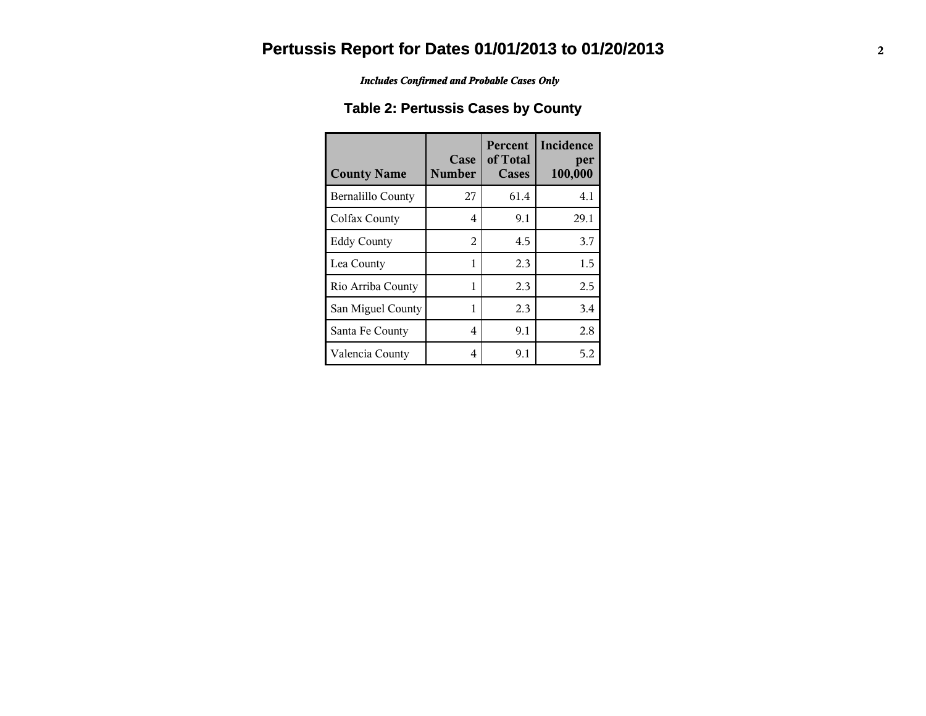*Includes Confirmed and Probable Cases Only*

### **Table 2: Pertussis Cases by County**

| <b>County Name</b>       | Case<br><b>Number</b> | Percent<br>of Total<br><b>Cases</b> | Incidence<br>per<br>100,000 |
|--------------------------|-----------------------|-------------------------------------|-----------------------------|
| <b>Bernalillo County</b> | 27                    | 61.4                                | 4.1                         |
| Colfax County            | 4                     | 9.1                                 | 29.1                        |
| <b>Eddy County</b>       | 2                     | 4.5                                 | 3.7                         |
| Lea County               | 1                     | 2.3                                 | 1.5                         |
| Rio Arriba County        | 1                     | 2.3                                 | 2.5                         |
| San Miguel County        | 1                     | 2.3                                 | 3.4                         |
| Santa Fe County          | 4                     | 9.1                                 | 2.8                         |
| Valencia County          | 4                     | 9.1                                 | 5.2                         |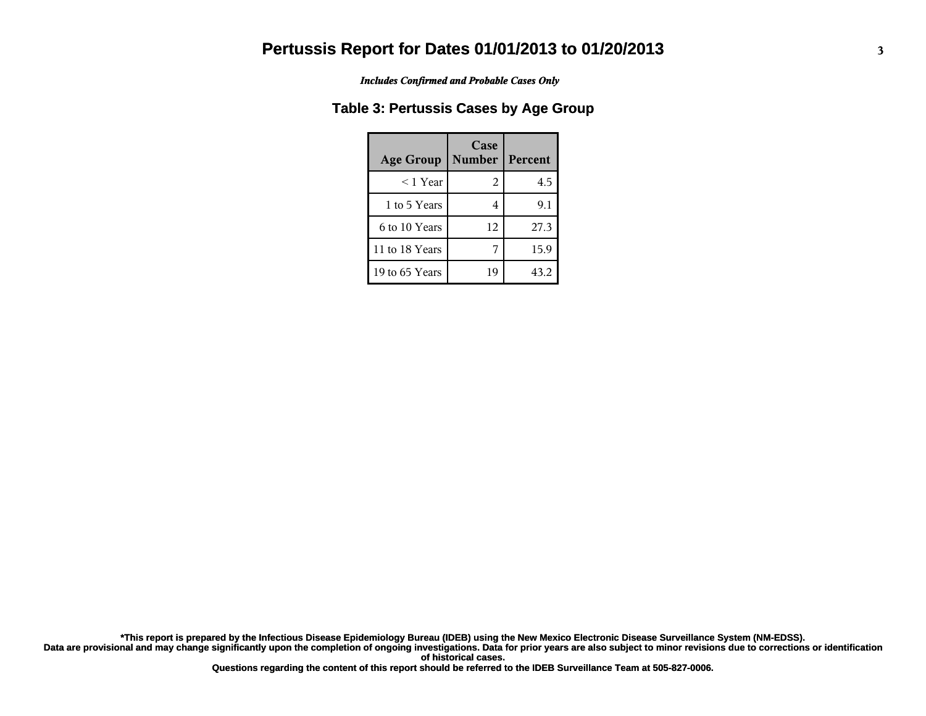*Includes Confirmed and Probable Cases Only*

#### **Table 3: Pertussis Cases by Age Group**

| <b>Age Group</b> | Case<br><b>Number</b> | Percent |
|------------------|-----------------------|---------|
| $<$ 1 Year       | 2                     | 4.5     |
| 1 to 5 Years     |                       | 9.1     |
| 6 to 10 Years    | 12                    | 27.3    |
| 11 to 18 Years   |                       | 15.9    |
| 19 to 65 Years   | 19                    | 43.2    |

**Data are provisional and may change significantly upon the completion of ongoing investigations. Data for prior years are also subject to minor revisions due to corrections or identification of historical cases. \*This report is prepared by the Infectious Disease Epidemiology Bureau (IDEB) using the New Mexico Electronic Disease Surveillance System (NM-EDSS).**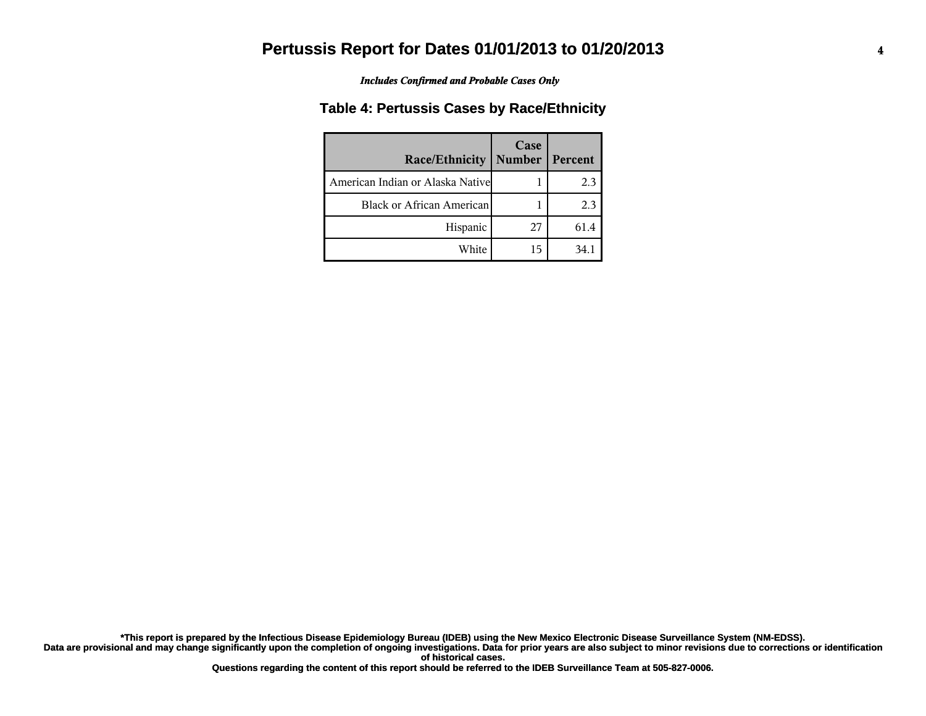*Includes Confirmed and Probable Cases Only*

#### **Table 4: Pertussis Cases by Race/Ethnicity**

| Race/Ethnicity                    | Case<br><b>Number</b> | Percent |
|-----------------------------------|-----------------------|---------|
| American Indian or Alaska Nativel |                       | 2.3     |
| <b>Black or African American</b>  |                       | 2.3     |
| Hispanic                          | 27                    | 61.4    |
| White                             | 15                    | 34.1    |

**Data are provisional and may change significantly upon the completion of ongoing investigations. Data for prior years are also subject to minor revisions due to corrections or identification of historical cases. \*This report is prepared by the Infectious Disease Epidemiology Bureau (IDEB) using the New Mexico Electronic Disease Surveillance System (NM-EDSS).**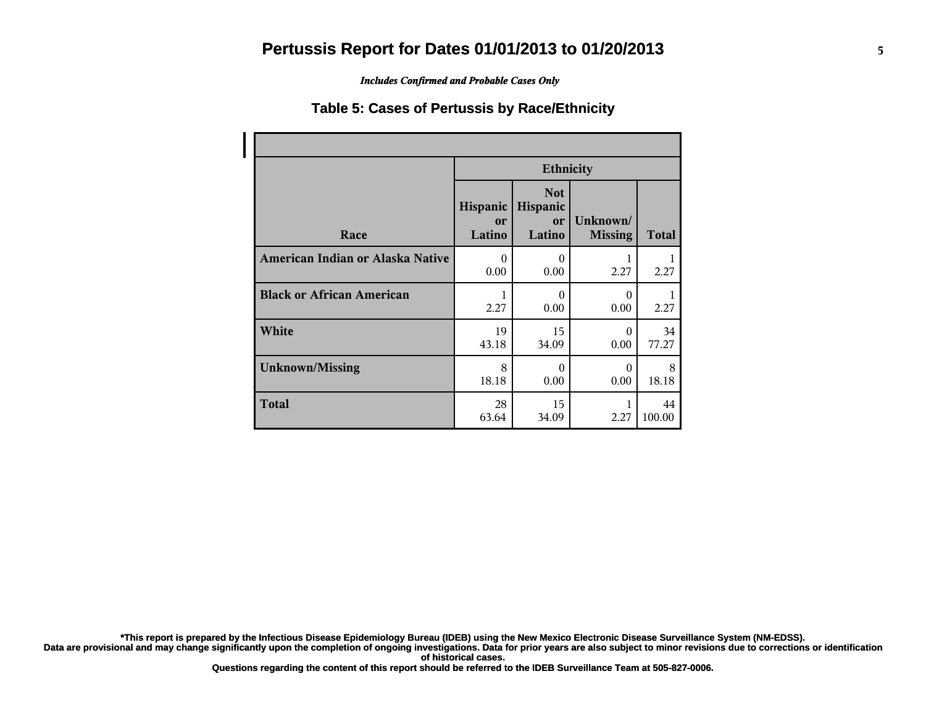*Includes Confirmed and Probable Cases Only*

#### **Table 5: Cases of Pertussis by Race/Ethnicity**

|                                  | <b>Ethnicity</b>         |                                        |                            |              |
|----------------------------------|--------------------------|----------------------------------------|----------------------------|--------------|
| Race                             | Hispanic<br>or<br>Latino | <b>Not</b><br>Hispanic<br>or<br>Latino | Unknown/<br><b>Missing</b> | <b>Total</b> |
| American Indian or Alaska Native | $\Omega$                 | $\theta$                               | 1                          | 1            |
|                                  | 0.00                     | 0.00                                   | 2.27                       | 2.27         |
| <b>Black or African American</b> | 1                        | $\theta$                               | $\Omega$                   | 1            |
|                                  | 2.27                     | 0.00                                   | 0.00                       | 2.27         |
| White                            | 19                       | 15                                     | $\Omega$                   | 34           |
|                                  | 43.18                    | 34.09                                  | 0.00                       | 77.27        |
| <b>Unknown/Missing</b>           | 8                        | $\theta$                               | $\theta$                   | 8            |
|                                  | 18.18                    | 0.00                                   | 0.00                       | 18.18        |
| <b>Total</b>                     | 28<br>63.64              | 15<br>34.09                            | 2.27                       | 44<br>100.00 |

**\*This report is prepared by the Infectious Disease Epidemiology Bureau (IDEB) using the New Mexico Electronic Disease Surveillance System (NM-EDSS).**

**Data are provisional and may change significantly upon the completion of ongoing investigations. Data for prior years are also subject to minor revisions due to corrections or identification of historical cases.**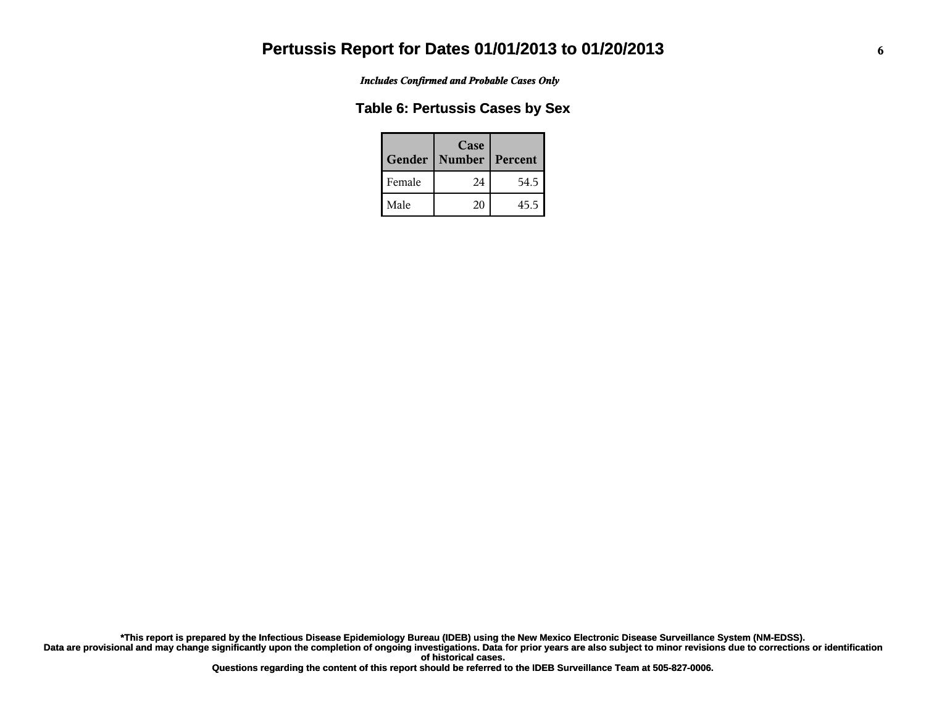*Includes Confirmed and Probable Cases Only*

#### **Table 6: Pertussis Cases by Sex**

| Gender | Case<br><b>Number</b> | Percent |
|--------|-----------------------|---------|
| Female | 24                    | 54.5    |
| Male   | 20                    | 45.5    |

**Data are provisional and may change significantly upon the completion of ongoing investigations. Data for prior years are also subject to minor revisions due to corrections or identification of historical cases. \*This report is prepared by the Infectious Disease Epidemiology Bureau (IDEB) using the New Mexico Electronic Disease Surveillance System (NM-EDSS).**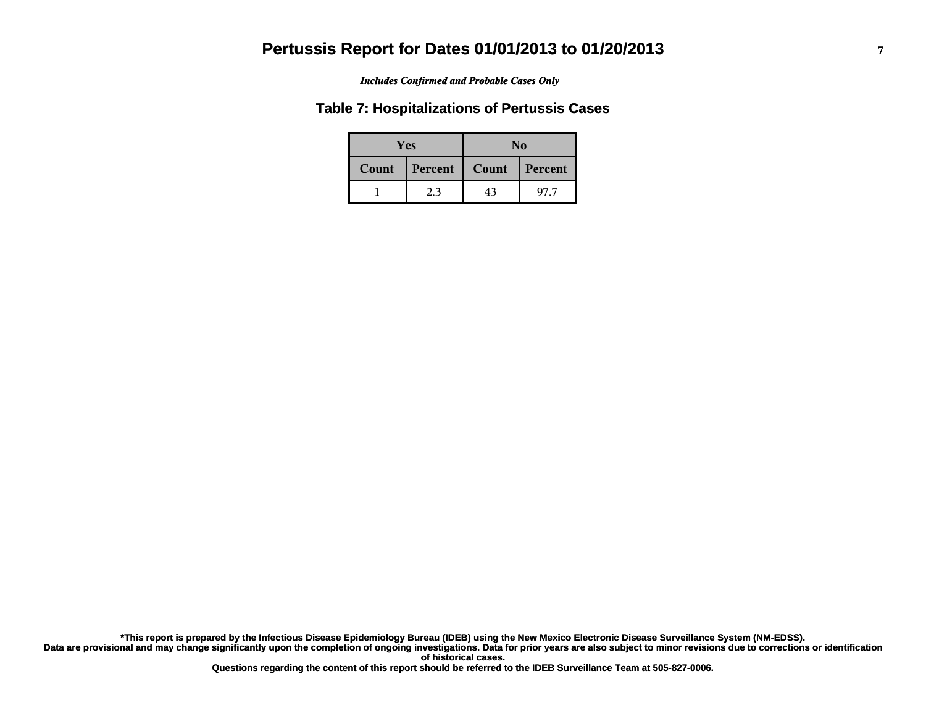#### *Includes Confirmed and Probable Cases Only*

#### **Table 7: Hospitalizations of Pertussis Cases**

| <b>Yes</b> |         | No    |         |  |
|------------|---------|-------|---------|--|
| Count      | Percent | Count | Percent |  |
|            | 2.3     | 43    | 97.7    |  |

**Data are provisional and may change significantly upon the completion of ongoing investigations. Data for prior years are also subject to minor revisions due to corrections or identification of historical cases. \*This report is prepared by the Infectious Disease Epidemiology Bureau (IDEB) using the New Mexico Electronic Disease Surveillance System (NM-EDSS).**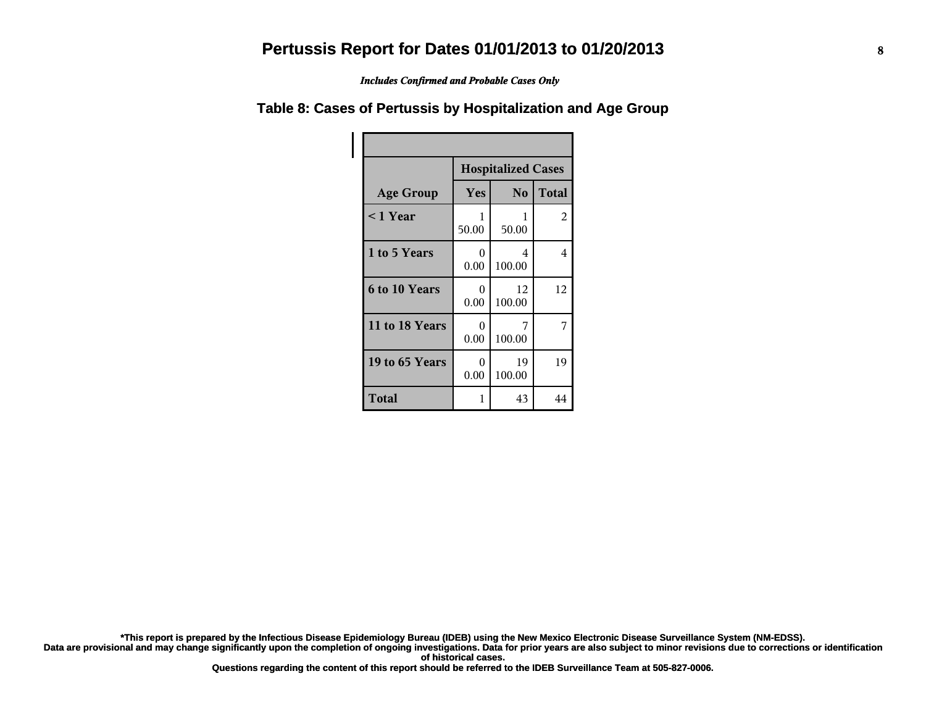*Includes Confirmed and Probable Cases Only*

#### **Table 8: Cases of Pertussis by Hospitalization and Age Group**

|                      | <b>Hospitalized Cases</b> |                |              |
|----------------------|---------------------------|----------------|--------------|
| <b>Age Group</b>     | Yes                       | N <sub>o</sub> | <b>Total</b> |
| $\leq 1$ Year        | 1<br>50.00                | 1<br>50.00     | 2            |
| 1 to 5 Years         | $\theta$<br>0.00          | 4<br>100.00    | 4            |
| <b>6 to 10 Years</b> | $\theta$<br>0.00          | 12<br>100.00   | 12           |
| 11 to 18 Years       | $\theta$<br>0.00          | 7<br>100.00    | 7            |
| 19 to 65 Years       | $\theta$<br>0.00          | 19<br>100.00   | 19           |
| Total                | 1                         | 43             | 44           |

**\*This report is prepared by the Infectious Disease Epidemiology Bureau (IDEB) using the New Mexico Electronic Disease Surveillance System (NM-EDSS).**

**Data are provisional and may change significantly upon the completion of ongoing investigations. Data for prior years are also subject to minor revisions due to corrections or identification of historical cases.**